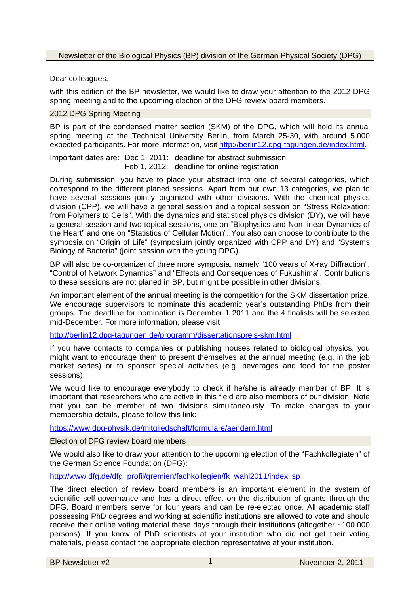Newsletter of the Biological Physics (BP) division of the German Physical Society (DPG)

Dear colleagues,

with this edition of the BP newsletter, we would like to draw your attention to the 2012 DPG spring meeting and to the upcoming election of the DFG review board members.

## 2012 DPG Spring Meeting

BP is part of the condensed matter section (SKM) of the DPG, which will hold its annual spring meeting at the Technical University Berlin, from March 25-30, with around 5.000 expected participants. For more information, visit http://berlin12.dpg-tagungen.de/index.html.

Important dates are: Dec 1, 2011: deadline for abstract submission Feb 1, 2012: deadline for online registration

During submission, you have to place your abstract into one of several categories, which correspond to the different planed sessions. Apart from our own 13 categories, we plan to have several sessions jointly organized with other divisions. With the chemical physics division (CPP), we will have a general session and a topical session on "Stress Relaxation: from Polymers to Cells". With the dynamics and statistical physics division (DY), we will have a general session and two topical sessions, one on "Biophysics and Non-linear Dynamics of the Heart" and one on "Statistics of Cellular Motion". You also can choose to contribute to the symposia on "Origin of Life" (symposium jointly organized with CPP and DY) and "Systems Biology of Bacteria" (joint session with the young DPG).

BP will also be co-organizer of three more symposia, namely "100 years of X-ray Diffraction", "Control of Network Dynamics" and "Effects and Consequences of Fukushima". Contributions to these sessions are not planed in BP, but might be possible in other divisions.

An important element of the annual meeting is the competition for the SKM dissertation prize. We encourage supervisors to nominate this academic year's outstanding PhDs from their groups. The deadline for nomination is December 1 2011 and the 4 finalists will be selected mid-December. For more information, please visit

http://berlin12.dpg-tagungen.de/programm/dissertationspreis-skm.html

If you have contacts to companies or publishing houses related to biological physics, you might want to encourage them to present themselves at the annual meeting (e.g. in the job market series) or to sponsor special activities (e.g. beverages and food for the poster sessions).

We would like to encourage everybody to check if he/she is already member of BP. It is important that researchers who are active in this field are also members of our division. Note that you can be member of two divisions simultaneously. To make changes to your membership details, please follow this link:

https://www.dpg-physik.de/mitgliedschaft/formulare/aendern.html

Election of DFG review board members

We would also like to draw your attention to the upcoming election of the "Fachkollegiaten" of the German Science Foundation (DFG):

http://www.dfg.de/dfg\_profil/gremien/fachkollegien/fk\_wahl2011/index.jsp

The direct election of review board members is an important element in the system of scientific self-governance and has a direct effect on the distribution of grants through the DFG. Board members serve for four years and can be re-elected once. All academic staff possessing PhD degrees and working at scientific institutions are allowed to vote and should receive their online voting material these days through their institutions (altogether ~100.000 persons). If you know of PhD scientists at your institution who did not get their voting materials, please contact the appropriate election representative at your institution.